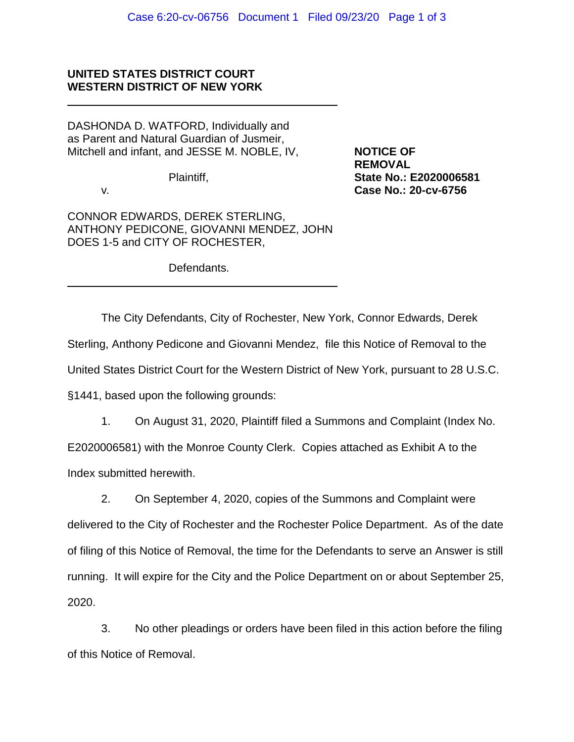## **UNITED STATES DISTRICT COURT WESTERN DISTRICT OF NEW YORK**

DASHONDA D. WATFORD, Individually and as Parent and Natural Guardian of Jusmeir, Mitchell and infant, and JESSE M. NOBLE, IV, **NOTICE OF** 

**REMOVAL** Plaintiff, **State No.: E2020006581** v*.* **Case No.: 20-cv-6756**

CONNOR EDWARDS, DEREK STERLING, ANTHONY PEDICONE, GIOVANNI MENDEZ, JOHN DOES 1-5 and CITY OF ROCHESTER,

Defendants.

The City Defendants, City of Rochester, New York, Connor Edwards, Derek Sterling, Anthony Pedicone and Giovanni Mendez, file this Notice of Removal to the United States District Court for the Western District of New York, pursuant to 28 U.S.C. §1441, based upon the following grounds:

1. On August 31, 2020, Plaintiff filed a Summons and Complaint (Index No.

E2020006581) with the Monroe County Clerk. Copies attached as Exhibit A to the Index submitted herewith.

2. On September 4, 2020, copies of the Summons and Complaint were delivered to the City of Rochester and the Rochester Police Department. As of the date of filing of this Notice of Removal, the time for the Defendants to serve an Answer is still running. It will expire for the City and the Police Department on or about September 25, 2020.

3. No other pleadings or orders have been filed in this action before the filing of this Notice of Removal.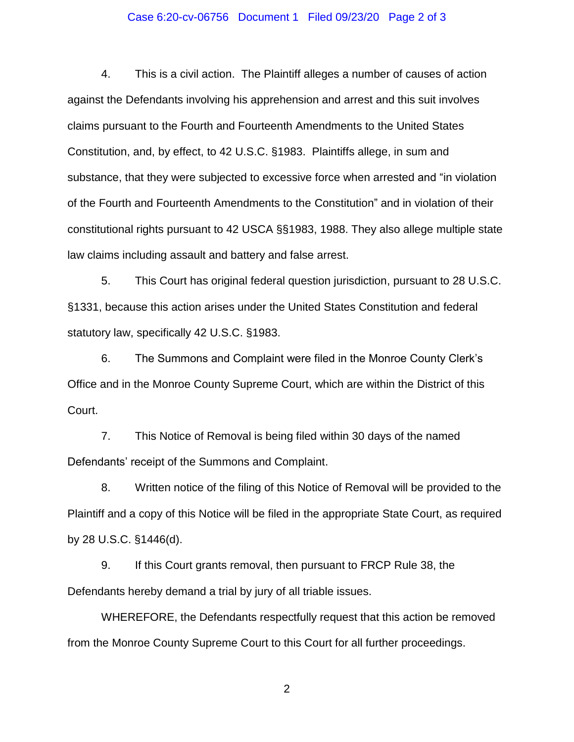## Case 6:20-cv-06756 Document 1 Filed 09/23/20 Page 2 of 3

4. This is a civil action. The Plaintiff alleges a number of causes of action against the Defendants involving his apprehension and arrest and this suit involves claims pursuant to the Fourth and Fourteenth Amendments to the United States Constitution, and, by effect, to 42 U.S.C. §1983. Plaintiffs allege, in sum and substance, that they were subjected to excessive force when arrested and "in violation of the Fourth and Fourteenth Amendments to the Constitution" and in violation of their constitutional rights pursuant to 42 USCA §§1983, 1988. They also allege multiple state law claims including assault and battery and false arrest.

5. This Court has original federal question jurisdiction, pursuant to 28 U.S.C. §1331, because this action arises under the United States Constitution and federal statutory law, specifically 42 U.S.C. §1983.

6. The Summons and Complaint were filed in the Monroe County Clerk's Office and in the Monroe County Supreme Court, which are within the District of this Court.

7. This Notice of Removal is being filed within 30 days of the named Defendants' receipt of the Summons and Complaint.

8. Written notice of the filing of this Notice of Removal will be provided to the Plaintiff and a copy of this Notice will be filed in the appropriate State Court, as required by 28 U.S.C. §1446(d).

9. If this Court grants removal, then pursuant to FRCP Rule 38, the Defendants hereby demand a trial by jury of all triable issues.

WHEREFORE, the Defendants respectfully request that this action be removed from the Monroe County Supreme Court to this Court for all further proceedings.

2